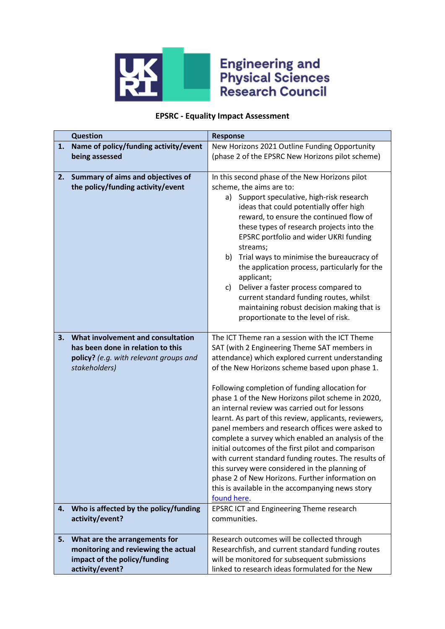

## **Engineering and<br>Physical Sciences<br>Research Council**

## **EPSRC - Equality Impact Assessment**

|    | <b>Question</b>                                                                                                                   | <b>Response</b>                                                                                                                                                                                                                                                                                                                                                                                                                                                                                                                                                                                                                                                                                                                                                                                                         |  |  |
|----|-----------------------------------------------------------------------------------------------------------------------------------|-------------------------------------------------------------------------------------------------------------------------------------------------------------------------------------------------------------------------------------------------------------------------------------------------------------------------------------------------------------------------------------------------------------------------------------------------------------------------------------------------------------------------------------------------------------------------------------------------------------------------------------------------------------------------------------------------------------------------------------------------------------------------------------------------------------------------|--|--|
| 1. | Name of policy/funding activity/event                                                                                             | New Horizons 2021 Outline Funding Opportunity                                                                                                                                                                                                                                                                                                                                                                                                                                                                                                                                                                                                                                                                                                                                                                           |  |  |
|    | being assessed                                                                                                                    | (phase 2 of the EPSRC New Horizons pilot scheme)                                                                                                                                                                                                                                                                                                                                                                                                                                                                                                                                                                                                                                                                                                                                                                        |  |  |
| 2. | Summary of aims and objectives of<br>the policy/funding activity/event                                                            | In this second phase of the New Horizons pilot<br>scheme, the aims are to:<br>Support speculative, high-risk research<br>a)<br>ideas that could potentially offer high<br>reward, to ensure the continued flow of<br>these types of research projects into the<br>EPSRC portfolio and wider UKRI funding<br>streams;<br>Trial ways to minimise the bureaucracy of<br>b)<br>the application process, particularly for the<br>applicant;<br>Deliver a faster process compared to<br>C)<br>current standard funding routes, whilst<br>maintaining robust decision making that is<br>proportionate to the level of risk.                                                                                                                                                                                                    |  |  |
| 3. | What involvement and consultation<br>has been done in relation to this<br>policy? (e.g. with relevant groups and<br>stakeholders) | The ICT Theme ran a session with the ICT Theme<br>SAT (with 2 Engineering Theme SAT members in<br>attendance) which explored current understanding<br>of the New Horizons scheme based upon phase 1.<br>Following completion of funding allocation for<br>phase 1 of the New Horizons pilot scheme in 2020,<br>an internal review was carried out for lessons<br>learnt. As part of this review, applicants, reviewers,<br>panel members and research offices were asked to<br>complete a survey which enabled an analysis of the<br>initial outcomes of the first pilot and comparison<br>with current standard funding routes. The results of<br>this survey were considered in the planning of<br>phase 2 of New Horizons. Further information on<br>this is available in the accompanying news story<br>found here. |  |  |
| 4. | Who is affected by the policy/funding<br>activity/event?                                                                          | EPSRC ICT and Engineering Theme research<br>communities.                                                                                                                                                                                                                                                                                                                                                                                                                                                                                                                                                                                                                                                                                                                                                                |  |  |
| 5. | What are the arrangements for<br>monitoring and reviewing the actual<br>impact of the policy/funding<br>activity/event?           | Research outcomes will be collected through<br>Researchfish, and current standard funding routes<br>will be monitored for subsequent submissions<br>linked to research ideas formulated for the New                                                                                                                                                                                                                                                                                                                                                                                                                                                                                                                                                                                                                     |  |  |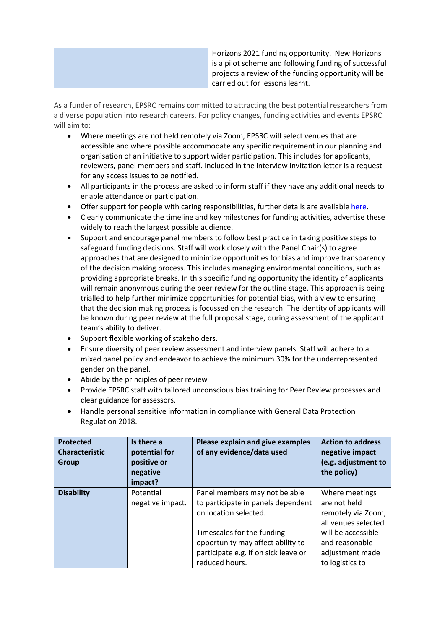| Horizons 2021 funding opportunity. New Horizons       |
|-------------------------------------------------------|
| is a pilot scheme and following funding of successful |
| projects a review of the funding opportunity will be  |
| carried out for lessons learnt.                       |

As a funder of research, EPSRC remains committed to attracting the best potential researchers from a diverse population into research careers. For policy changes, funding activities and events EPSRC will aim to:

- Where meetings are not held remotely via Zoom, EPSRC will select venues that are accessible and where possible accommodate any specific requirement in our planning and organisation of an initiative to support wider participation. This includes for applicants, reviewers, panel members and staff. Included in the interview invitation letter is a request for any access issues to be notified.
- All participants in the process are asked to inform staff if they have any additional needs to enable attendance or participation.
- Offer support for people with caring responsibilities, further details are available [here.](https://epsrc.ukri.org/funding/applicationprocess/basics/caringresponsibilities/)
- Clearly communicate the timeline and key milestones for funding activities, advertise these widely to reach the largest possible audience.
- Support and encourage panel members to follow best practice in taking positive steps to safeguard funding decisions. Staff will work closely with the Panel Chair(s) to agree approaches that are designed to minimize opportunities for bias and improve transparency of the decision making process. This includes managing environmental conditions, such as providing appropriate breaks. In this specific funding opportunity the identity of applicants will remain anonymous during the peer review for the outline stage. This approach is being trialled to help further minimize opportunities for potential bias, with a view to ensuring that the decision making process is focussed on the research. The identity of applicants will be known during peer review at the full proposal stage, during assessment of the applicant team's ability to deliver.
- Support flexible working of stakeholders.
- Ensure diversity of peer review assessment and interview panels. Staff will adhere to a mixed panel policy and endeavor to achieve the minimum 30% for the underrepresented gender on the panel.
- Abide by the principles of peer review
- Provide EPSRC staff with tailored unconscious bias training for Peer Review processes and clear guidance for assessors.
- Handle personal sensitive information in compliance with General Data Protection Regulation 2018.

| Protected<br><b>Characteristic</b><br>Group | Is there a<br>potential for<br>positive or<br>negative<br>impact? | Please explain and give examples<br>of any evidence/data used                                                             | <b>Action to address</b><br>negative impact<br>(e.g. adjustment to<br>the policy) |
|---------------------------------------------|-------------------------------------------------------------------|---------------------------------------------------------------------------------------------------------------------------|-----------------------------------------------------------------------------------|
| <b>Disability</b>                           | Potential<br>negative impact.                                     | Panel members may not be able<br>to participate in panels dependent<br>on location selected.                              | Where meetings<br>are not held<br>remotely via Zoom,<br>all venues selected       |
|                                             |                                                                   | Timescales for the funding<br>opportunity may affect ability to<br>participate e.g. if on sick leave or<br>reduced hours. | will be accessible<br>and reasonable<br>adjustment made<br>to logistics to        |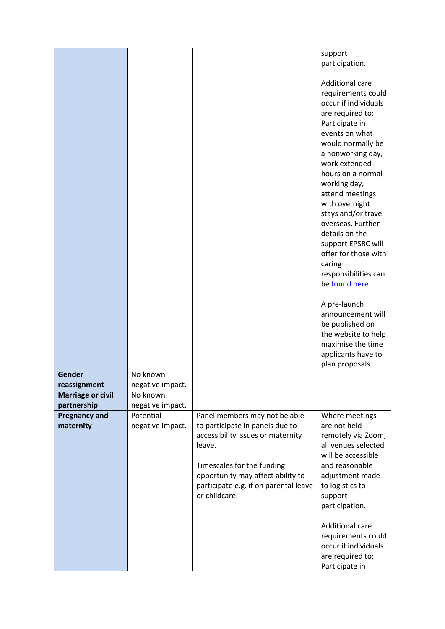|                          |                  |                                                                      | support                                      |
|--------------------------|------------------|----------------------------------------------------------------------|----------------------------------------------|
|                          |                  |                                                                      | participation.                               |
|                          |                  |                                                                      |                                              |
|                          |                  |                                                                      | <b>Additional care</b><br>requirements could |
|                          |                  |                                                                      | occur if individuals                         |
|                          |                  |                                                                      | are required to:                             |
|                          |                  |                                                                      | Participate in                               |
|                          |                  |                                                                      | events on what                               |
|                          |                  |                                                                      | would normally be                            |
|                          |                  |                                                                      | a nonworking day,                            |
|                          |                  |                                                                      | work extended                                |
|                          |                  |                                                                      | hours on a normal                            |
|                          |                  |                                                                      | working day,                                 |
|                          |                  |                                                                      | attend meetings<br>with overnight            |
|                          |                  |                                                                      | stays and/or travel                          |
|                          |                  |                                                                      | overseas. Further                            |
|                          |                  |                                                                      | details on the                               |
|                          |                  |                                                                      | support EPSRC will                           |
|                          |                  |                                                                      | offer for those with                         |
|                          |                  |                                                                      | caring                                       |
|                          |                  |                                                                      | responsibilities can<br>be found here.       |
|                          |                  |                                                                      |                                              |
|                          |                  |                                                                      | A pre-launch                                 |
|                          |                  |                                                                      | announcement will                            |
|                          |                  |                                                                      | be published on                              |
|                          |                  |                                                                      | the website to help                          |
|                          |                  |                                                                      | maximise the time                            |
|                          |                  |                                                                      | applicants have to                           |
| Gender                   | No known         |                                                                      | plan proposals.                              |
| reassignment             | negative impact. |                                                                      |                                              |
| <b>Marriage or civil</b> | No known         |                                                                      |                                              |
| partnership              | negative impact. |                                                                      |                                              |
| <b>Pregnancy and</b>     | Potential        | Panel members may not be able                                        | Where meetings                               |
| maternity                | negative impact. | to participate in panels due to<br>accessibility issues or maternity | are not held                                 |
|                          |                  | leave.                                                               | remotely via Zoom,<br>all venues selected    |
|                          |                  |                                                                      | will be accessible                           |
|                          |                  | Timescales for the funding                                           | and reasonable                               |
|                          |                  | opportunity may affect ability to                                    | adjustment made                              |
|                          |                  | participate e.g. if on parental leave                                | to logistics to                              |
|                          |                  | or childcare.                                                        | support                                      |
|                          |                  |                                                                      | participation.                               |
|                          |                  |                                                                      | <b>Additional care</b>                       |
|                          |                  |                                                                      | requirements could                           |
|                          |                  |                                                                      | occur if individuals                         |
|                          |                  |                                                                      | are required to:                             |
|                          |                  |                                                                      | Participate in                               |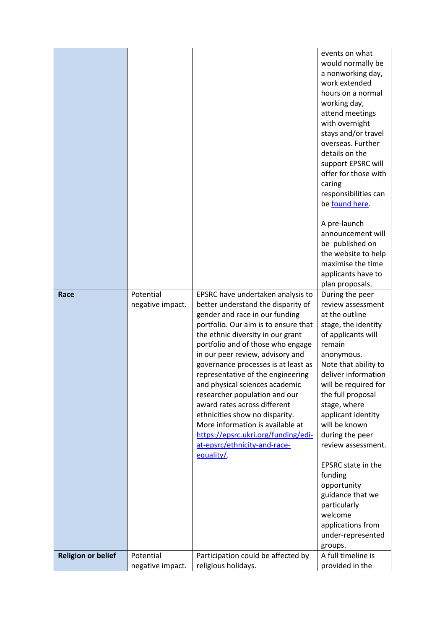|                           |                               |                                                                                                                                                                                                                                                                                                                                                                                                                                                                                                                                                                                                           | events on what<br>would normally be<br>a nonworking day,<br>work extended<br>hours on a normal<br>working day,<br>attend meetings<br>with overnight<br>stays and/or travel<br>overseas. Further<br>details on the<br>support EPSRC will<br>offer for those with<br>caring<br>responsibilities can<br>be found here.<br>A pre-launch<br>announcement will<br>be published on<br>the website to help<br>maximise the time<br>applicants have to<br>plan proposals.            |
|---------------------------|-------------------------------|-----------------------------------------------------------------------------------------------------------------------------------------------------------------------------------------------------------------------------------------------------------------------------------------------------------------------------------------------------------------------------------------------------------------------------------------------------------------------------------------------------------------------------------------------------------------------------------------------------------|-----------------------------------------------------------------------------------------------------------------------------------------------------------------------------------------------------------------------------------------------------------------------------------------------------------------------------------------------------------------------------------------------------------------------------------------------------------------------------|
| Race                      | Potential<br>negative impact. | EPSRC have undertaken analysis to<br>better understand the disparity of<br>gender and race in our funding<br>portfolio. Our aim is to ensure that<br>the ethnic diversity in our grant<br>portfolio and of those who engage<br>in our peer review, advisory and<br>governance processes is at least as<br>representative of the engineering<br>and physical sciences academic<br>researcher population and our<br>award rates across different<br>ethnicities show no disparity.<br>More information is available at<br>https://epsrc.ukri.org/funding/edi-<br>at-epsrc/ethnicity-and-race-<br>equality/. | During the peer<br>review assessment<br>at the outline<br>stage, the identity<br>of applicants will<br>remain<br>anonymous.<br>Note that ability to<br>deliver information<br>will be required for<br>the full proposal<br>stage, where<br>applicant identity<br>will be known<br>during the peer<br>review assessment.<br>EPSRC state in the<br>funding<br>opportunity<br>guidance that we<br>particularly<br>welcome<br>applications from<br>under-represented<br>groups. |
| <b>Religion or belief</b> | Potential<br>negative impact. | Participation could be affected by<br>religious holidays.                                                                                                                                                                                                                                                                                                                                                                                                                                                                                                                                                 | A full timeline is<br>provided in the                                                                                                                                                                                                                                                                                                                                                                                                                                       |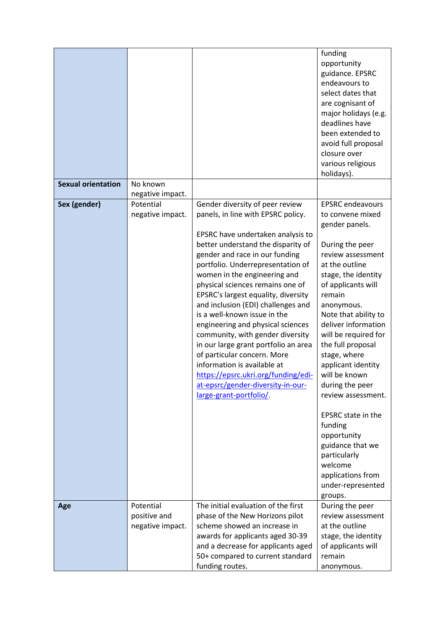|                           |                  |                                      | funding                   |
|---------------------------|------------------|--------------------------------------|---------------------------|
|                           |                  |                                      | opportunity               |
|                           |                  |                                      | guidance. EPSRC           |
|                           |                  |                                      | endeavours to             |
|                           |                  |                                      | select dates that         |
|                           |                  |                                      | are cognisant of          |
|                           |                  |                                      | major holidays (e.g.      |
|                           |                  |                                      | deadlines have            |
|                           |                  |                                      | been extended to          |
|                           |                  |                                      | avoid full proposal       |
|                           |                  |                                      | closure over              |
|                           |                  |                                      | various religious         |
|                           |                  |                                      | holidays).                |
| <b>Sexual orientation</b> | No known         |                                      |                           |
|                           | negative impact. |                                      |                           |
| Sex (gender)              | Potential        | Gender diversity of peer review      | <b>EPSRC</b> endeavours   |
|                           | negative impact. | panels, in line with EPSRC policy.   | to convene mixed          |
|                           |                  |                                      | gender panels.            |
|                           |                  | EPSRC have undertaken analysis to    |                           |
|                           |                  | better understand the disparity of   | During the peer           |
|                           |                  | gender and race in our funding       | review assessment         |
|                           |                  | portfolio. Underrepresentation of    | at the outline            |
|                           |                  |                                      |                           |
|                           |                  | women in the engineering and         | stage, the identity       |
|                           |                  | physical sciences remains one of     | of applicants will        |
|                           |                  | EPSRC's largest equality, diversity  | remain                    |
|                           |                  | and inclusion (EDI) challenges and   | anonymous.                |
|                           |                  | is a well-known issue in the         | Note that ability to      |
|                           |                  | engineering and physical sciences    | deliver information       |
|                           |                  | community, with gender diversity     | will be required for      |
|                           |                  | in our large grant portfolio an area | the full proposal         |
|                           |                  | of particular concern. More          | stage, where              |
|                           |                  | information is available at          | applicant identity        |
|                           |                  | https://epsrc.ukri.org/funding/edi-  | will be known             |
|                           |                  | at-epsrc/gender-diversity-in-our-    | during the peer           |
|                           |                  | large-grant-portfolio/.              | review assessment.        |
|                           |                  |                                      |                           |
|                           |                  |                                      | <b>EPSRC</b> state in the |
|                           |                  |                                      | funding                   |
|                           |                  |                                      | opportunity               |
|                           |                  |                                      | guidance that we          |
|                           |                  |                                      | particularly              |
|                           |                  |                                      | welcome                   |
|                           |                  |                                      | applications from         |
|                           |                  |                                      | under-represented         |
|                           |                  |                                      | groups.                   |
| Age                       | Potential        | The initial evaluation of the first  | During the peer           |
|                           | positive and     | phase of the New Horizons pilot      | review assessment         |
|                           | negative impact. | scheme showed an increase in         | at the outline            |
|                           |                  | awards for applicants aged 30-39     | stage, the identity       |
|                           |                  | and a decrease for applicants aged   | of applicants will        |
|                           |                  | 50+ compared to current standard     | remain                    |
|                           |                  | funding routes.                      | anonymous.                |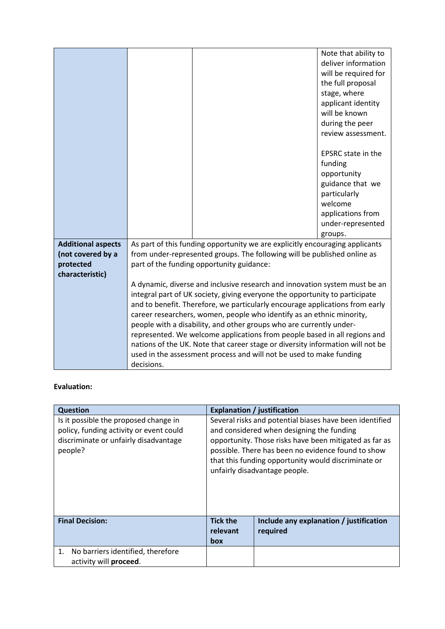|                           |                                                                                                                                                             |                                                                                                                                                             | Note that ability to      |
|---------------------------|-------------------------------------------------------------------------------------------------------------------------------------------------------------|-------------------------------------------------------------------------------------------------------------------------------------------------------------|---------------------------|
|                           |                                                                                                                                                             |                                                                                                                                                             | deliver information       |
|                           |                                                                                                                                                             |                                                                                                                                                             | will be required for      |
|                           |                                                                                                                                                             |                                                                                                                                                             | the full proposal         |
|                           |                                                                                                                                                             |                                                                                                                                                             | stage, where              |
|                           |                                                                                                                                                             |                                                                                                                                                             | applicant identity        |
|                           |                                                                                                                                                             |                                                                                                                                                             | will be known             |
|                           |                                                                                                                                                             |                                                                                                                                                             | during the peer           |
|                           |                                                                                                                                                             |                                                                                                                                                             | review assessment.        |
|                           |                                                                                                                                                             |                                                                                                                                                             | <b>EPSRC</b> state in the |
|                           |                                                                                                                                                             |                                                                                                                                                             | funding                   |
|                           |                                                                                                                                                             |                                                                                                                                                             | opportunity               |
|                           |                                                                                                                                                             |                                                                                                                                                             | guidance that we          |
|                           |                                                                                                                                                             |                                                                                                                                                             | particularly              |
|                           |                                                                                                                                                             |                                                                                                                                                             | welcome                   |
|                           |                                                                                                                                                             |                                                                                                                                                             | applications from         |
|                           |                                                                                                                                                             |                                                                                                                                                             | under-represented         |
|                           |                                                                                                                                                             |                                                                                                                                                             | groups.                   |
| <b>Additional aspects</b> |                                                                                                                                                             | As part of this funding opportunity we are explicitly encouraging applicants                                                                                |                           |
| (not covered by a         |                                                                                                                                                             | from under-represented groups. The following will be published online as                                                                                    |                           |
| protected                 |                                                                                                                                                             | part of the funding opportunity guidance:                                                                                                                   |                           |
| characteristic)           |                                                                                                                                                             |                                                                                                                                                             |                           |
|                           |                                                                                                                                                             | A dynamic, diverse and inclusive research and innovation system must be an                                                                                  |                           |
|                           |                                                                                                                                                             | integral part of UK society, giving everyone the opportunity to participate<br>and to benefit. Therefore, we particularly encourage applications from early |                           |
|                           |                                                                                                                                                             | career researchers, women, people who identify as an ethnic minority,                                                                                       |                           |
|                           |                                                                                                                                                             | people with a disability, and other groups who are currently under-                                                                                         |                           |
|                           |                                                                                                                                                             |                                                                                                                                                             |                           |
|                           | represented. We welcome applications from people based in all regions and<br>nations of the UK. Note that career stage or diversity information will not be |                                                                                                                                                             |                           |
|                           |                                                                                                                                                             | used in the assessment process and will not be used to make funding                                                                                         |                           |
|                           |                                                                                                                                                             |                                                                                                                                                             |                           |
|                           | decisions.                                                                                                                                                  |                                                                                                                                                             |                           |

## **Evaluation:**

| <b>Question</b>                                                                                                                      |                                                                                                                                                                                                                                                                                                              | <b>Explanation / justification</b>                  |
|--------------------------------------------------------------------------------------------------------------------------------------|--------------------------------------------------------------------------------------------------------------------------------------------------------------------------------------------------------------------------------------------------------------------------------------------------------------|-----------------------------------------------------|
| Is it possible the proposed change in<br>policy, funding activity or event could<br>discriminate or unfairly disadvantage<br>people? | Several risks and potential biases have been identified<br>and considered when designing the funding<br>opportunity. Those risks have been mitigated as far as<br>possible. There has been no evidence found to show<br>that this funding opportunity would discriminate or<br>unfairly disadvantage people. |                                                     |
| <b>Final Decision:</b>                                                                                                               | <b>Tick the</b><br>relevant<br><b>box</b>                                                                                                                                                                                                                                                                    | Include any explanation / justification<br>required |
| No barriers identified, therefore<br>1.<br>activity will proceed.                                                                    |                                                                                                                                                                                                                                                                                                              |                                                     |